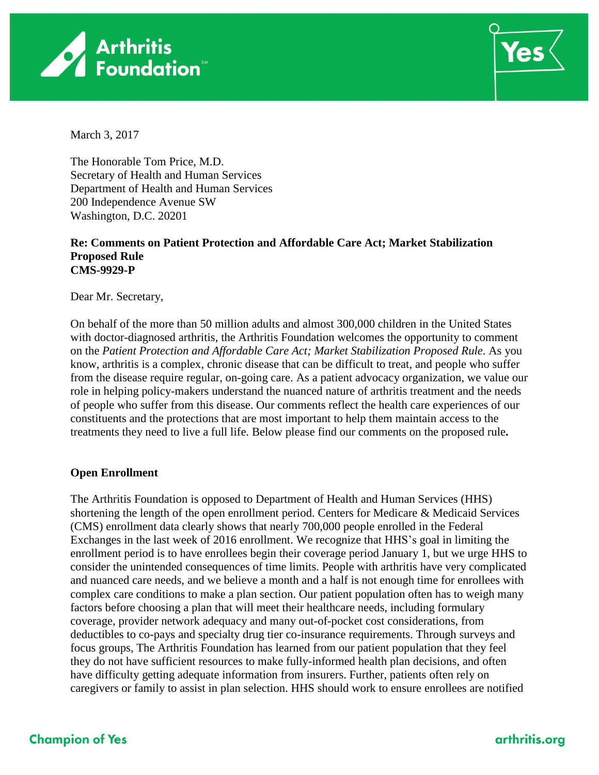



March 3, 2017

The Honorable Tom Price, M.D. Secretary of Health and Human Services Department of Health and Human Services 200 Independence Avenue SW Washington, D.C. 20201

#### **Re: Comments on Patient Protection and Affordable Care Act; Market Stabilization Proposed Rule CMS-9929-P**

Dear Mr. Secretary,

On behalf of the more than 50 million adults and almost 300,000 children in the United States with doctor-diagnosed arthritis, the Arthritis Foundation welcomes the opportunity to comment on the *Patient Protection and Affordable Care Act; Market Stabilization Proposed Rule*. As you know, arthritis is a complex, chronic disease that can be difficult to treat, and people who suffer from the disease require regular, on-going care. As a patient advocacy organization, we value our role in helping policy-makers understand the nuanced nature of arthritis treatment and the needs of people who suffer from this disease. Our comments reflect the health care experiences of our constituents and the protections that are most important to help them maintain access to the treatments they need to live a full life. Below please find our comments on the proposed rule**.**

### **Open Enrollment**

The Arthritis Foundation is opposed to Department of Health and Human Services (HHS) shortening the length of the open enrollment period. Centers for Medicare & Medicaid Services (CMS) enrollment data clearly shows that nearly 700,000 people enrolled in the Federal Exchanges in the last week of 2016 enrollment. We recognize that HHS's goal in limiting the enrollment period is to have enrollees begin their coverage period January 1, but we urge HHS to consider the unintended consequences of time limits. People with arthritis have very complicated and nuanced care needs, and we believe a month and a half is not enough time for enrollees with complex care conditions to make a plan section. Our patient population often has to weigh many factors before choosing a plan that will meet their healthcare needs, including formulary coverage, provider network adequacy and many out-of-pocket cost considerations, from deductibles to co-pays and specialty drug tier co-insurance requirements. Through surveys and focus groups, The Arthritis Foundation has learned from our patient population that they feel they do not have sufficient resources to make fully-informed health plan decisions, and often have difficulty getting adequate information from insurers. Further, patients often rely on caregivers or family to assist in plan selection. HHS should work to ensure enrollees are notified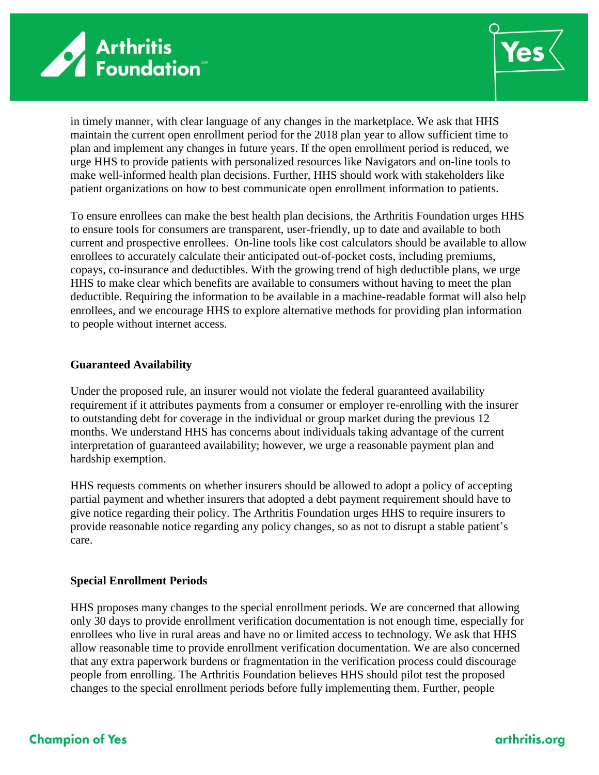



in timely manner, with clear language of any changes in the marketplace. We ask that HHS maintain the current open enrollment period for the 2018 plan year to allow sufficient time to plan and implement any changes in future years. If the open enrollment period is reduced, we urge HHS to provide patients with personalized resources like Navigators and on-line tools to make well-informed health plan decisions. Further, HHS should work with stakeholders like patient organizations on how to best communicate open enrollment information to patients.

To ensure enrollees can make the best health plan decisions, the Arthritis Foundation urges HHS to ensure tools for consumers are transparent, user-friendly, up to date and available to both current and prospective enrollees. On-line tools like cost calculators should be available to allow enrollees to accurately calculate their anticipated out-of-pocket costs, including premiums, copays, co-insurance and deductibles. With the growing trend of high deductible plans, we urge HHS to make clear which benefits are available to consumers without having to meet the plan deductible. Requiring the information to be available in a machine-readable format will also help enrollees, and we encourage HHS to explore alternative methods for providing plan information to people without internet access.

#### **Guaranteed Availability**

Under the proposed rule, an insurer would not violate the federal guaranteed availability requirement if it attributes payments from a consumer or employer re-enrolling with the insurer to outstanding debt for coverage in the individual or group market during the previous 12 months. We understand HHS has concerns about individuals taking advantage of the current interpretation of guaranteed availability; however, we urge a reasonable payment plan and hardship exemption.

HHS requests comments on whether insurers should be allowed to adopt a policy of accepting partial payment and whether insurers that adopted a debt payment requirement should have to give notice regarding their policy. The Arthritis Foundation urges HHS to require insurers to provide reasonable notice regarding any policy changes, so as not to disrupt a stable patient's care.

#### **Special Enrollment Periods**

HHS proposes many changes to the special enrollment periods. We are concerned that allowing only 30 days to provide enrollment verification documentation is not enough time, especially for enrollees who live in rural areas and have no or limited access to technology. We ask that HHS allow reasonable time to provide enrollment verification documentation. We are also concerned that any extra paperwork burdens or fragmentation in the verification process could discourage people from enrolling. The Arthritis Foundation believes HHS should pilot test the proposed changes to the special enrollment periods before fully implementing them. Further, people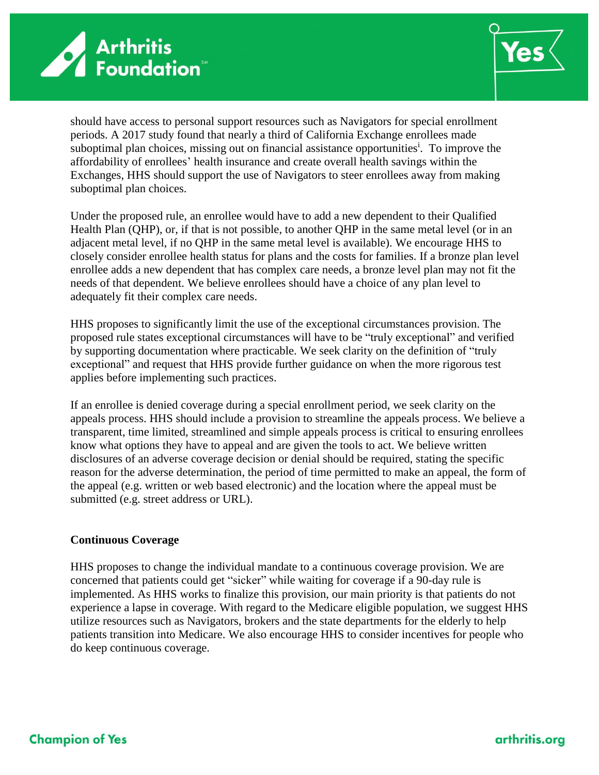



should have access to personal support resources such as Navigators for special enrollment periods. A 2017 study found that nearly a third of California Exchange enrollees made suboptimal plan choices, missing out on financial assistance opportunities<sup>i</sup>. To improve the affordability of enrollees' health insurance and create overall health savings within the Exchanges, HHS should support the use of Navigators to steer enrollees away from making suboptimal plan choices.

Under the proposed rule, an enrollee would have to add a new dependent to their Qualified Health Plan (QHP), or, if that is not possible, to another QHP in the same metal level (or in an adjacent metal level, if no QHP in the same metal level is available). We encourage HHS to closely consider enrollee health status for plans and the costs for families. If a bronze plan level enrollee adds a new dependent that has complex care needs, a bronze level plan may not fit the needs of that dependent. We believe enrollees should have a choice of any plan level to adequately fit their complex care needs.

HHS proposes to significantly limit the use of the exceptional circumstances provision. The proposed rule states exceptional circumstances will have to be "truly exceptional" and verified by supporting documentation where practicable. We seek clarity on the definition of "truly exceptional" and request that HHS provide further guidance on when the more rigorous test applies before implementing such practices.

If an enrollee is denied coverage during a special enrollment period, we seek clarity on the appeals process. HHS should include a provision to streamline the appeals process. We believe a transparent, time limited, streamlined and simple appeals process is critical to ensuring enrollees know what options they have to appeal and are given the tools to act. We believe written disclosures of an adverse coverage decision or denial should be required, stating the specific reason for the adverse determination, the period of time permitted to make an appeal, the form of the appeal (e.g. written or web based electronic) and the location where the appeal must be submitted (e.g. street address or URL).

### **Continuous Coverage**

HHS proposes to change the individual mandate to a continuous coverage provision. We are concerned that patients could get "sicker" while waiting for coverage if a 90-day rule is implemented. As HHS works to finalize this provision, our main priority is that patients do not experience a lapse in coverage. With regard to the Medicare eligible population, we suggest HHS utilize resources such as Navigators, brokers and the state departments for the elderly to help patients transition into Medicare. We also encourage HHS to consider incentives for people who do keep continuous coverage.

### **Champion of Yes**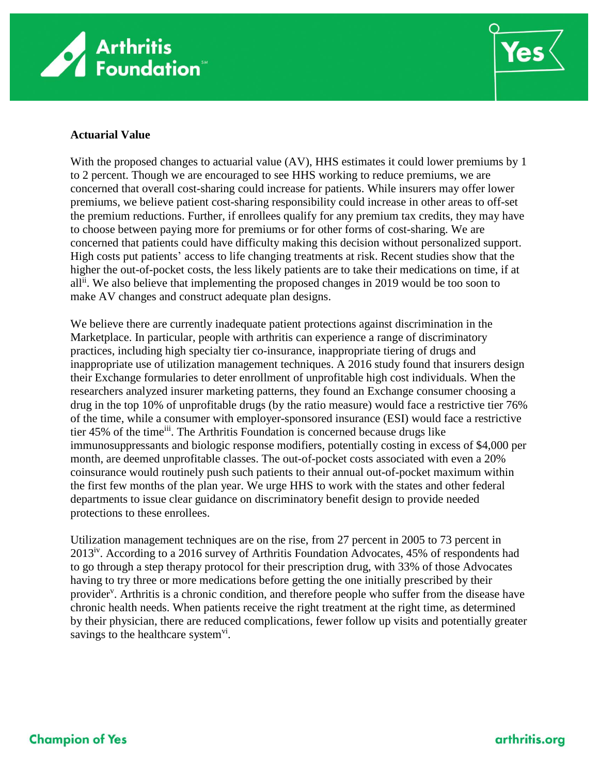



### **Actuarial Value**

With the proposed changes to actuarial value (AV), HHS estimates it could lower premiums by 1 to 2 percent. Though we are encouraged to see HHS working to reduce premiums, we are concerned that overall cost-sharing could increase for patients. While insurers may offer lower premiums, we believe patient cost-sharing responsibility could increase in other areas to off-set the premium reductions. Further, if enrollees qualify for any premium tax credits, they may have to choose between paying more for premiums or for other forms of cost-sharing. We are concerned that patients could have difficulty making this decision without personalized support. High costs put patients' access to life changing treatments at risk. Recent studies show that the higher the out-of-pocket costs, the less likely patients are to take their medications on time, if at all<sup>ii</sup>. We also believe that implementing the proposed changes in 2019 would be too soon to make AV changes and construct adequate plan designs.

We believe there are currently inadequate patient protections against discrimination in the Marketplace. In particular, people with arthritis can experience a range of discriminatory practices, including high specialty tier co-insurance, inappropriate tiering of drugs and inappropriate use of utilization management techniques. A 2016 study found that insurers design their Exchange formularies to deter enrollment of unprofitable high cost individuals. When the researchers analyzed insurer marketing patterns, they found an Exchange consumer choosing a drug in the top 10% of unprofitable drugs (by the ratio measure) would face a restrictive tier 76% of the time, while a consumer with employer-sponsored insurance (ESI) would face a restrictive tier 45% of the time<sup>iii</sup>. The Arthritis Foundation is concerned because drugs like immunosuppressants and biologic response modifiers, potentially costing in excess of \$4,000 per month, are deemed unprofitable classes. The out-of-pocket costs associated with even a 20% coinsurance would routinely push such patients to their annual out-of-pocket maximum within the first few months of the plan year. We urge HHS to work with the states and other federal departments to issue clear guidance on discriminatory benefit design to provide needed protections to these enrollees.

Utilization management techniques are on the rise, from 27 percent in 2005 to 73 percent in 2013<sup>iv</sup>. According to a 2016 survey of Arthritis Foundation Advocates, 45% of respondents had to go through a step therapy protocol for their prescription drug, with 33% of those Advocates having to try three or more medications before getting the one initially prescribed by their provider<sup>v</sup>. Arthritis is a chronic condition, and therefore people who suffer from the disease have chronic health needs. When patients receive the right treatment at the right time, as determined by their physician, there are reduced complications, fewer follow up visits and potentially greater savings to the healthcare system $\mathrm{v}^{\mathrm{i}}$ .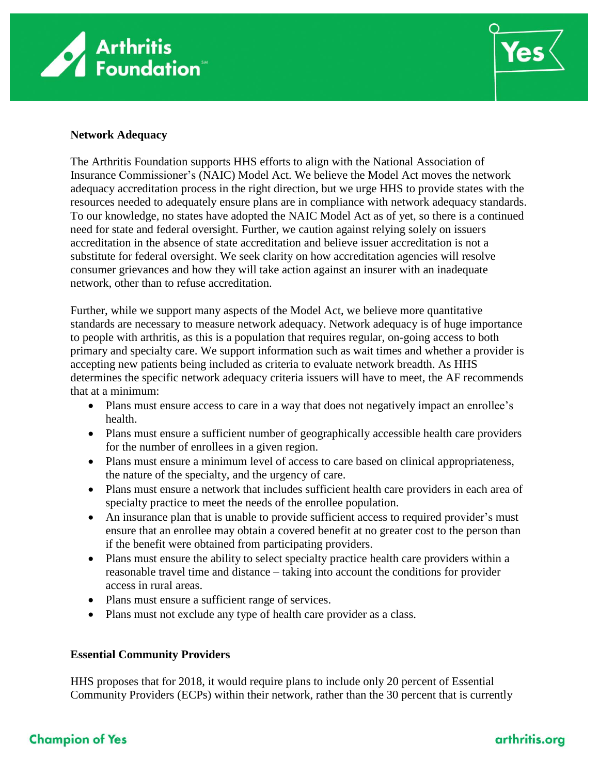



### **Network Adequacy**

The Arthritis Foundation supports HHS efforts to align with the National Association of Insurance Commissioner's (NAIC) Model Act. We believe the Model Act moves the network adequacy accreditation process in the right direction, but we urge HHS to provide states with the resources needed to adequately ensure plans are in compliance with network adequacy standards. To our knowledge, no states have adopted the NAIC Model Act as of yet, so there is a continued need for state and federal oversight. Further, we caution against relying solely on issuers accreditation in the absence of state accreditation and believe issuer accreditation is not a substitute for federal oversight. We seek clarity on how accreditation agencies will resolve consumer grievances and how they will take action against an insurer with an inadequate network, other than to refuse accreditation.

Further, while we support many aspects of the Model Act, we believe more quantitative standards are necessary to measure network adequacy. Network adequacy is of huge importance to people with arthritis, as this is a population that requires regular, on-going access to both primary and specialty care. We support information such as wait times and whether a provider is accepting new patients being included as criteria to evaluate network breadth. As HHS determines the specific network adequacy criteria issuers will have to meet, the AF recommends that at a minimum:

- Plans must ensure access to care in a way that does not negatively impact an enrollee's health.
- Plans must ensure a sufficient number of geographically accessible health care providers for the number of enrollees in a given region.
- Plans must ensure a minimum level of access to care based on clinical appropriateness, the nature of the specialty, and the urgency of care.
- Plans must ensure a network that includes sufficient health care providers in each area of specialty practice to meet the needs of the enrollee population.
- An insurance plan that is unable to provide sufficient access to required provider's must ensure that an enrollee may obtain a covered benefit at no greater cost to the person than if the benefit were obtained from participating providers.
- Plans must ensure the ability to select specialty practice health care providers within a reasonable travel time and distance – taking into account the conditions for provider access in rural areas.
- Plans must ensure a sufficient range of services.
- Plans must not exclude any type of health care provider as a class.

### **Essential Community Providers**

HHS proposes that for 2018, it would require plans to include only 20 percent of Essential Community Providers (ECPs) within their network, rather than the 30 percent that is currently

# **Champion of Yes**